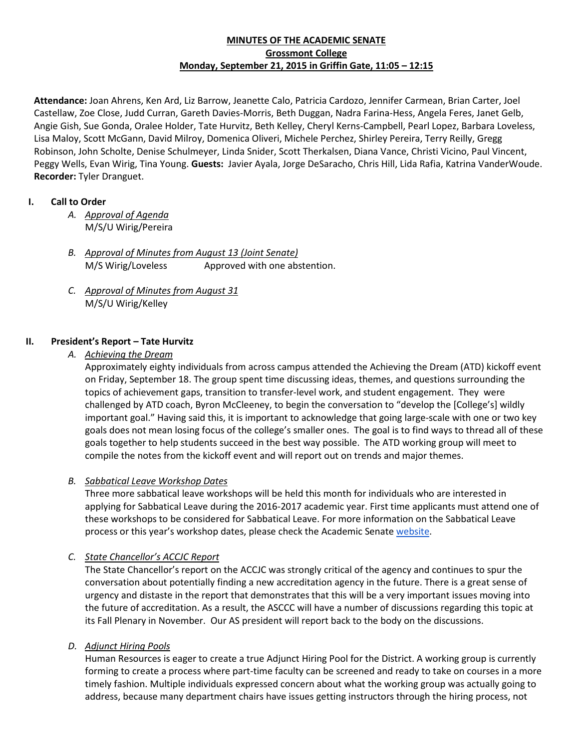## **MINUTES OF THE ACADEMIC SENATE Grossmont College Monday, September 21, 2015 in Griffin Gate, 11:05 – 12:15**

**Attendance:** Joan Ahrens, Ken Ard, Liz Barrow, Jeanette Calo, Patricia Cardozo, Jennifer Carmean, Brian Carter, Joel Castellaw, Zoe Close, Judd Curran, Gareth Davies-Morris, Beth Duggan, Nadra Farina-Hess, Angela Feres, Janet Gelb, Angie Gish, Sue Gonda, Oralee Holder, Tate Hurvitz, Beth Kelley, Cheryl Kerns-Campbell, Pearl Lopez, Barbara Loveless, Lisa Maloy, Scott McGann, David Milroy, Domenica Oliveri, Michele Perchez, Shirley Pereira, Terry Reilly, Gregg Robinson, John Scholte, Denise Schulmeyer, Linda Snider, Scott Therkalsen, Diana Vance, Christi Vicino, Paul Vincent, Peggy Wells, Evan Wirig, Tina Young. **Guests:** Javier Ayala, Jorge DeSaracho, Chris Hill, Lida Rafia, Katrina VanderWoude. **Recorder:** Tyler Dranguet.

## **I. Call to Order**

- *A. Approval of Agenda* M/S/U Wirig/Pereira
- *B. Approval of Minutes from August 13 (Joint Senate)* M/S Wirig/Loveless Approved with one abstention.
- *C. Approval of Minutes from August 31* M/S/U Wirig/Kelley

# **II. President's Report – Tate Hurvitz**

*A. Achieving the Dream*

Approximately eighty individuals from across campus attended the Achieving the Dream (ATD) kickoff event on Friday, September 18. The group spent time discussing ideas, themes, and questions surrounding the topics of achievement gaps, transition to transfer-level work, and student engagement. They were challenged by ATD coach, Byron McCleeney, to begin the conversation to "develop the [College's] wildly important goal." Having said this, it is important to acknowledge that going large-scale with one or two key goals does not mean losing focus of the college's smaller ones. The goal is to find ways to thread all of these goals together to help students succeed in the best way possible. The ATD working group will meet to compile the notes from the kickoff event and will report out on trends and major themes.

# *B. Sabbatical Leave Workshop Dates*

Three more sabbatical leave workshops will be held this month for individuals who are interested in applying for Sabbatical Leave during the 2016-2017 academic year. First time applicants must attend one of these workshops to be considered for Sabbatical Leave. For more information on the Sabbatical Leave process or this year's workshop dates, please check the Academic Senate [website.](http://www.grossmont.edu/college-info/senate/sabbatical_leave.aspx)

### *C. State Chancellor's ACCJC Report*

The State Chancellor's report on the ACCJC was strongly critical of the agency and continues to spur the conversation about potentially finding a new accreditation agency in the future. There is a great sense of urgency and distaste in the report that demonstrates that this will be a very important issues moving into the future of accreditation. As a result, the ASCCC will have a number of discussions regarding this topic at its Fall Plenary in November. Our AS president will report back to the body on the discussions.

### *D. Adjunct Hiring Pools*

Human Resources is eager to create a true Adjunct Hiring Pool for the District. A working group is currently forming to create a process where part-time faculty can be screened and ready to take on courses in a more timely fashion. Multiple individuals expressed concern about what the working group was actually going to address, because many department chairs have issues getting instructors through the hiring process, not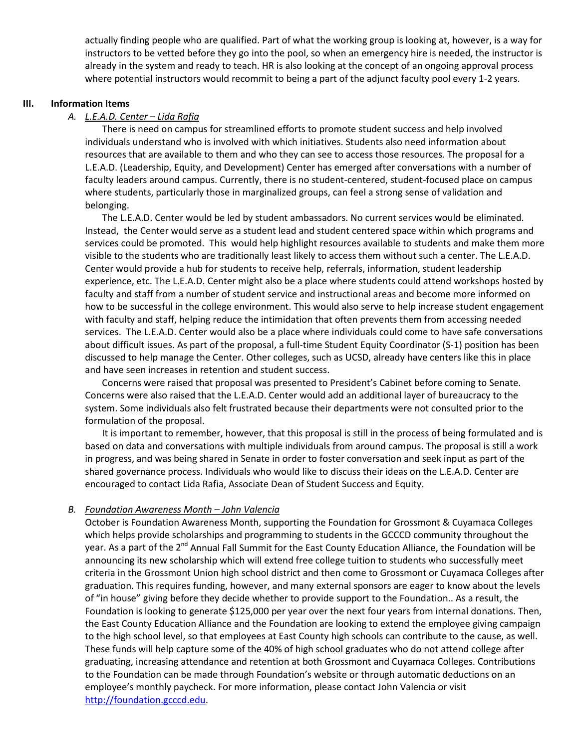actually finding people who are qualified. Part of what the working group is looking at, however, is a way for instructors to be vetted before they go into the pool, so when an emergency hire is needed, the instructor is already in the system and ready to teach. HR is also looking at the concept of an ongoing approval process where potential instructors would recommit to being a part of the adjunct faculty pool every 1-2 years.

#### **III. Information Items**

#### *A. L.E.A.D. Center – Lida Rafia*

There is need on campus for streamlined efforts to promote student success and help involved individuals understand who is involved with which initiatives. Students also need information about resources that are available to them and who they can see to access those resources. The proposal for a L.E.A.D. (Leadership, Equity, and Development) Center has emerged after conversations with a number of faculty leaders around campus. Currently, there is no student-centered, student-focused place on campus where students, particularly those in marginalized groups, can feel a strong sense of validation and belonging.

The L.E.A.D. Center would be led by student ambassadors. No current services would be eliminated. Instead, the Center would serve as a student lead and student centered space within which programs and services could be promoted. This would help highlight resources available to students and make them more visible to the students who are traditionally least likely to access them without such a center. The L.E.A.D. Center would provide a hub for students to receive help, referrals, information, student leadership experience, etc. The L.E.A.D. Center might also be a place where students could attend workshops hosted by faculty and staff from a number of student service and instructional areas and become more informed on how to be successful in the college environment. This would also serve to help increase student engagement with faculty and staff, helping reduce the intimidation that often prevents them from accessing needed services. The L.E.A.D. Center would also be a place where individuals could come to have safe conversations about difficult issues. As part of the proposal, a full-time Student Equity Coordinator (S-1) position has been discussed to help manage the Center. Other colleges, such as UCSD, already have centers like this in place and have seen increases in retention and student success.

Concerns were raised that proposal was presented to President's Cabinet before coming to Senate. Concerns were also raised that the L.E.A.D. Center would add an additional layer of bureaucracy to the system. Some individuals also felt frustrated because their departments were not consulted prior to the formulation of the proposal.

It is important to remember, however, that this proposal is still in the process of being formulated and is based on data and conversations with multiple individuals from around campus. The proposal is still a work in progress, and was being shared in Senate in order to foster conversation and seek input as part of the shared governance process. Individuals who would like to discuss their ideas on the L.E.A.D. Center are encouraged to contact Lida Rafia, Associate Dean of Student Success and Equity.

### *B. Foundation Awareness Month – John Valencia*

October is Foundation Awareness Month, supporting the Foundation for Grossmont & Cuyamaca Colleges which helps provide scholarships and programming to students in the GCCCD community throughout the year. As a part of the 2<sup>nd</sup> Annual Fall Summit for the East County Education Alliance, the Foundation will be announcing its new scholarship which will extend free college tuition to students who successfully meet criteria in the Grossmont Union high school district and then come to Grossmont or Cuyamaca Colleges after graduation. This requires funding, however, and many external sponsors are eager to know about the levels of "in house" giving before they decide whether to provide support to the Foundation.. As a result, the Foundation is looking to generate \$125,000 per year over the next four years from internal donations. Then, the East County Education Alliance and the Foundation are looking to extend the employee giving campaign to the high school level, so that employees at East County high schools can contribute to the cause, as well. These funds will help capture some of the 40% of high school graduates who do not attend college after graduating, increasing attendance and retention at both Grossmont and Cuyamaca Colleges. Contributions to the Foundation can be made through Foundation's website or through automatic deductions on an employee's monthly paycheck. For more information, please contact John Valencia or visit [http://foundation.gcccd.edu.](http://foundation.gcccd.edu/)